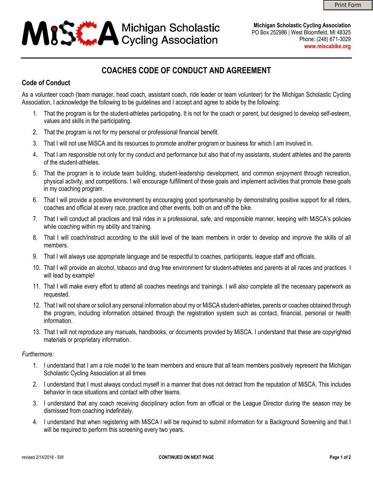# **ASSET A Michigan Scholastic**<br>Cycling Association

**Michigan Scholastic Cycling Association** PO Box 252986 | West Bloomfield, MI 48325 Phone: (248) 671-3029 **[www.miscabike.org](http://www.miscabike.org/)**

# **COACHES CODE OF CONDUCT AND AGREEMENT**

## **Code of Conduct**

As a volunteer coach (team manager, head coach, assistant coach, ride leader or team volunteer) for the Michigan Scholastic Cycling Association, I acknowledge the following to be guidelines and I accept and agree to abide by the following:

- 1. That the program is for the student-athletes participating. It is not for the coach or parent, but designed to develop self-esteem, values and skills in the participating.
- 2. That the program is not for my personal or professional financial benefit.
- 3. That I will not use MiSCA and its resources to promote another program or business for which I am involved in.
- 4. That I am responsible not only for my conduct and performance but also that of my assistants, student athletes and the parents of the student-athletes.
- 5. That the program is to include team building, student-leadership development, and common enjoyment through recreation, physical activity, and competitions. I will encourage fulfillment of these goals and implement activities that promote these goals in my coaching program.
- 6. That I will provide a positive environment by encouraging good sportsmanship by demonstrating positive support for all riders, coaches and official at every race, practice and other events, both on and off the bike.
- 7. That I will conduct all practices and trail rides in a professional, safe, and responsible manner, keeping with MiSCA's policies while coaching within my ability and training.
- 8. That I will coach/instruct according to the skill level of the team members in order to develop and improve the skills of all members.
- 9. That I will always use appropriate language and be respectful to coaches, participants, league staff and officials.
- 10. That I will provide an alcohol, tobacco and drug free environment for student-athletes and parents at all races and practices. I will lead by example!
- 11. That I will make every effort to attend all coaches meetings and trainings. I will also complete all the necessary paperwork as requested.
- 12. That I will not share or solicit any personal information about my or MiSCA student-athletes, parents or coaches obtained through the program, including information obtained through the registration system such as contact, financial, personal or health information.
- 13. That I will not reproduce any manuals, handbooks, or documents provided by MiSCA. I understand that these are copyrighted materials or proprietary information.

#### *Furthermore:*

- 1. I understand that I am a role model to the team members and ensure that all team members positively represent the Michigan Scholastic Cycling Association at all times
- 2. I understand that I must always conduct myself in a manner that does not detract from the reputation of MiSCA. This includes behavior in race situations and contact with other teams.
- 3. I understand that any coach receiving disciplinary action from an official or the League Director during the season may be dismissed from coaching indefinitely.
- 4. I understand that when registering with MiSCA I will be required to submit information for a Background Screening and that I will be required to perform this screening every two years.